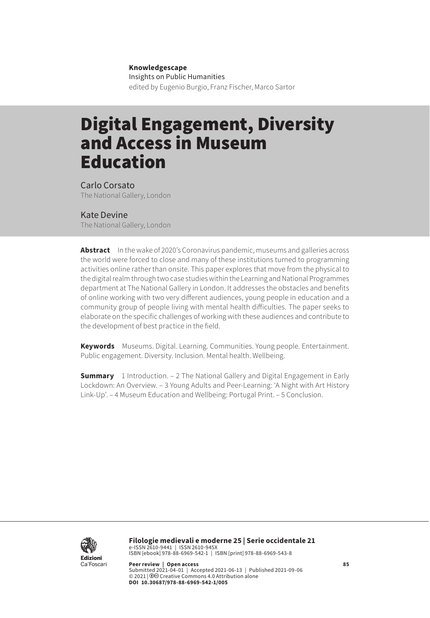#### **Knowledgescape**

Insights on Public Humanities edited by Eugenio Burgio, Franz Fischer, Marco Sartor

# Digital Engagement, Diversity and Access in Museum Education

Carlo Corsato The National Gallery, London

### Kate Devine

The National Gallery, London

**Abstract** In the wake of 2020's Coronavirus pandemic, museums and galleries across the world were forced to close and many of these institutions turned to programming activities online rather than onsite. This paper explores that move from the physical to the digital realm through two case studies within the Learning and National Programmes department at The National Gallery in London. It addresses the obstacles and benefits of online working with two very different audiences, young people in education and a community group of people living with mental health difficulties. The paper seeks to elaborate on the specific challenges of working with these audiences and contribute to the development of best practice in the field.

**Keywords** Museums. Digital. Learning. Communities. Young people. Entertainment. Public engagement. Diversity. Inclusion. Mental health. Wellbeing.

**Summary** [1 Introduction.](#page-1-0) - 2 The National Gallery and Digital Engagement in Early [Lockdown: An Overview](#page-2-0). – [3 Young Adults and Peer-Learning: 'A Night with Art History](#page-5-0)  [Link-Up'](#page-5-0). – [4 Museum Education and Wellbeing: Portugal Print.](#page-11-0) – [5 Conclusion](#page-15-0).



**Filologie medievali e moderne 25 | Serie occidentale 21** e-ISSN 2610-9441 | ISSN 2610-945X ISBN [ebook] 978-88-6969-542-1 | ISBN [print] 978-88-6969-543-8

**Peer review | Open access 85** Submitted 2021-04-01 | Accepted 2021-06-13 | Published 2021-09-06 © 2021 | 0<sup>o</sup> Creative Commons 4.0 Attribution alone **DOI 10.30687/978-88-6969-542-1/005**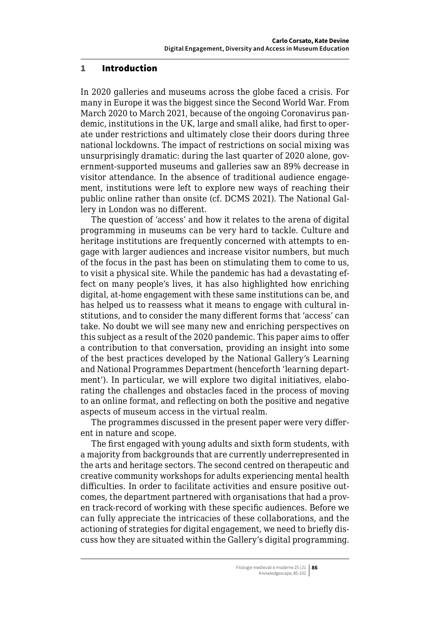### <span id="page-1-0"></span>1 Introduction

In 2020 galleries and museums across the globe faced a crisis. For many in Europe it was the biggest since the Second World War. From March 2020 to March 2021, because of the ongoing Coronavirus pandemic, institutions in the UK, large and small alike, had first to operate under restrictions and ultimately close their doors during three national lockdowns. The impact of restrictions on social mixing was unsurprisingly dramatic: during the last quarter of 2020 alone, government-supported museums and galleries saw an 89% decrease in visitor attendance. In the absence of traditional audience engagement, institutions were left to explore new ways of reaching their public online rather than onsite (cf. DCMS 2021). The National Gallery in London was no different.

The question of 'access' and how it relates to the arena of digital programming in museums can be very hard to tackle. Culture and heritage institutions are frequently concerned with attempts to engage with larger audiences and increase visitor numbers, but much of the focus in the past has been on stimulating them to come to us, to visit a physical site. While the pandemic has had a devastating effect on many people's lives, it has also highlighted how enriching digital, at-home engagement with these same institutions can be, and has helped us to reassess what it means to engage with cultural institutions, and to consider the many different forms that 'access' can take. No doubt we will see many new and enriching perspectives on this subject as a result of the 2020 pandemic. This paper aims to offer a contribution to that conversation, providing an insight into some of the best practices developed by the National Gallery's Learning and National Programmes Department (henceforth 'learning department'). In particular, we will explore two digital initiatives, elaborating the challenges and obstacles faced in the process of moving to an online format, and reflecting on both the positive and negative aspects of museum access in the virtual realm.

The programmes discussed in the present paper were very different in nature and scope.

The first engaged with young adults and sixth form students, with a majority from backgrounds that are currently underrepresented in the arts and heritage sectors. The second centred on therapeutic and creative community workshops for adults experiencing mental health difficulties. In order to facilitate activities and ensure positive outcomes, the department partnered with organisations that had a proven track-record of working with these specific audiences. Before we can fully appreciate the intricacies of these collaborations, and the actioning of strategies for digital engagement, we need to briefly discuss how they are situated within the Gallery's digital programming.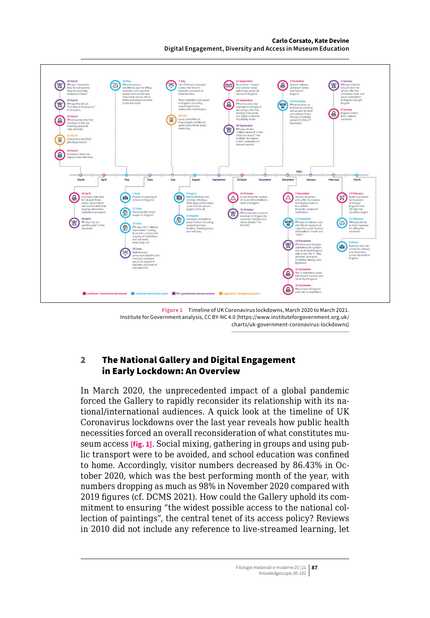#### **Carlo Corsato, Kate Devine Digital Engagement, Diversity and Access in Museum Education**

<span id="page-2-0"></span>

#### **Figure 1** Timeline of UK Coronavirus lockdowns, March 2020 to March 2021. Institute for Government analysis, CC BY-NC 4.0 ([https://www.instituteforgovernment.org.uk/](https://www.instituteforgovernment.org.uk/charts/uk-government-coronavirus-lockdowns) [charts/uk-government-coronavirus-lockdowns\)](https://www.instituteforgovernment.org.uk/charts/uk-government-coronavirus-lockdowns)

# 2 The National Gallery and Digital Engagement in Early Lockdown: An Overview

In March 2020, the unprecedented impact of a global pandemic forced the Gallery to rapidly reconsider its relationship with its national/international audiences. A quick look at the timeline of UK Coronavirus lockdowns over the last year reveals how public health necessities forced an overall reconsideration of what constitutes museum access **[fig. 1]**. Social mixing, gathering in groups and using public transport were to be avoided, and school education was confined to home. Accordingly, visitor numbers decreased by 86.43% in October 2020, which was the best performing month of the year, with numbers dropping as much as 98% in November 2020 compared with 2019 figures (cf. DCMS 2021). How could the Gallery uphold its commitment to ensuring "the widest possible access to the national collection of paintings", the central tenet of its access policy? Reviews in 2010 did not include any reference to live-streamed learning, let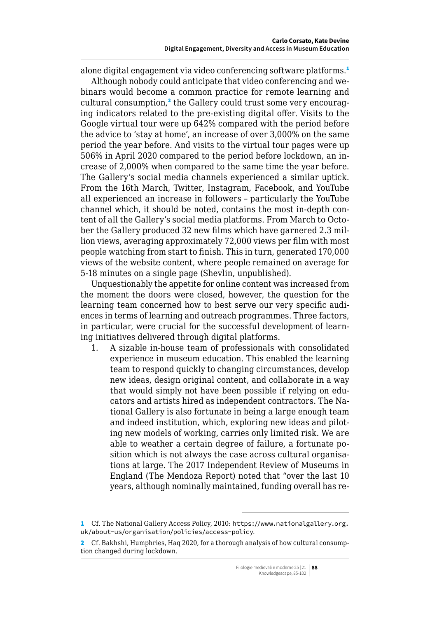alone digital engagement via video conferencing software platforms.<sup>1</sup>

Although nobody could anticipate that video conferencing and webinars would become a common practice for remote learning and cultural consumption,<sup>2</sup> the Gallery could trust some very encouraging indicators related to the pre-existing digital offer. Visits to the Google virtual tour were up 642% compared with the period before the advice to 'stay at home', an increase of over 3,000% on the same period the year before. And visits to the virtual tour pages were up 506% in April 2020 compared to the period before lockdown, an increase of 2,000% when compared to the same time the year before. The Gallery's social media channels experienced a similar uptick. From the 16th March, Twitter, Instagram, Facebook, and YouTube all experienced an increase in followers – particularly the YouTube channel which, it should be noted, contains the most in-depth content of all the Gallery's social media platforms. From March to October the Gallery produced 32 new films which have garnered 2.3 million views, averaging approximately 72,000 views per film with most people watching from start to finish. This in turn, generated 170,000 views of the website content, where people remained on average for 5-18 minutes on a single page (Shevlin, unpublished).

Unquestionably the appetite for online content was increased from the moment the doors were closed, however, the question for the learning team concerned how to best serve our very specific audiences in terms of learning and outreach programmes. Three factors, in particular, were crucial for the successful development of learning initiatives delivered through digital platforms.

1. A sizable in-house team of professionals with consolidated experience in museum education. This enabled the learning team to respond quickly to changing circumstances, develop new ideas, design original content, and collaborate in a way that would simply not have been possible if relying on educators and artists hired as independent contractors. The National Gallery is also fortunate in being a large enough team and indeed institution, which, exploring new ideas and piloting new models of working, carries only limited risk. We are able to weather a certain degree of failure, a fortunate position which is not always the case across cultural organisations at large. The 2017 Independent Review of Museums in England (The Mendoza Report) noted that "over the last 10 years, although nominally maintained, funding overall has re-

<sup>1</sup> Cf. The National Gallery Access Policy, 2010: [https://www.nationalgallery.org.](https://www.nationalgallery.org.uk/about-us/organisation/policies/access-policy) [uk/about-us/organisation/policies/access-policy](https://www.nationalgallery.org.uk/about-us/organisation/policies/access-policy).

<sup>2</sup> Cf. Bakhshi, Humphries, Haq 2020, for a thorough analysis of how cultural consumption changed during lockdown.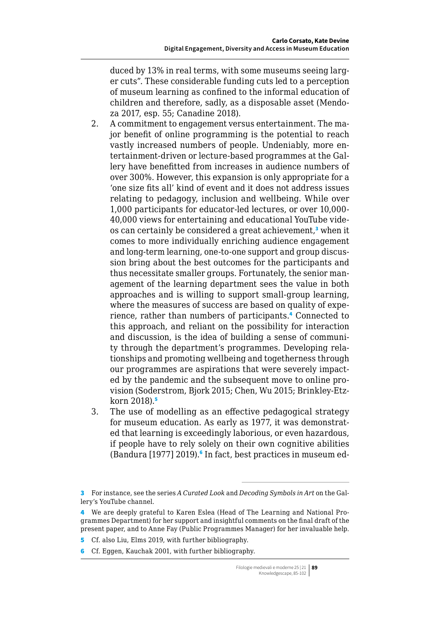duced by 13% in real terms, with some museums seeing larger cuts". These considerable funding cuts led to a perception of museum learning as confined to the informal education of children and therefore, sadly, as a disposable asset (Mendoza 2017, esp. 55; Canadine 2018).

- 2. A commitment to engagement versus entertainment. The major benefit of online programming is the potential to reach vastly increased numbers of people. Undeniably, more entertainment-driven or lecture-based programmes at the Gallery have benefitted from increases in audience numbers of over 300%. However, this expansion is only appropriate for a 'one size fits all' kind of event and it does not address issues relating to pedagogy, inclusion and wellbeing. While over 1,000 participants for educator-led lectures, or over 10,000- 40,000 views for entertaining and educational YouTube videos can certainly be considered a great achievement,<sup>3</sup> when it comes to more individually enriching audience engagement and long-term learning, one-to-one support and group discussion bring about the best outcomes for the participants and thus necessitate smaller groups. Fortunately, the senior management of the learning department sees the value in both approaches and is willing to support small-group learning, where the measures of success are based on quality of experience, rather than numbers of participants.<sup>4</sup> Connected to this approach, and reliant on the possibility for interaction and discussion, is the idea of building a sense of community through the department's programmes. Developing relationships and promoting wellbeing and togetherness through our programmes are aspirations that were severely impacted by the pandemic and the subsequent move to online provision (Soderstrom, Bjork 2015; Chen, Wu 2015; Brinkley-Etzkorn  $2018$ .
- 3. The use of modelling as an effective pedagogical strategy for museum education. As early as 1977, it was demonstrated that learning is exceedingly laborious, or even hazardous, if people have to rely solely on their own cognitive abilities (Bandura [1977] 2019).<sup>6</sup> In fact, best practices in museum ed-

- 5 Cf. also Liu, Elms 2019, with further bibliography.
- 6 Cf. Eggen, Kauchak 2001, with further bibliography.

<sup>3</sup> For instance, see the series *A Curated Look* and *Decoding Symbols in Art* on the Gallery's YouTube channel.

<sup>4</sup> We are deeply grateful to Karen Eslea (Head of The Learning and National Programmes Department) for her support and insightful comments on the final draft of the present paper, and to Anne Fay (Public Programmes Manager) for her invaluable help.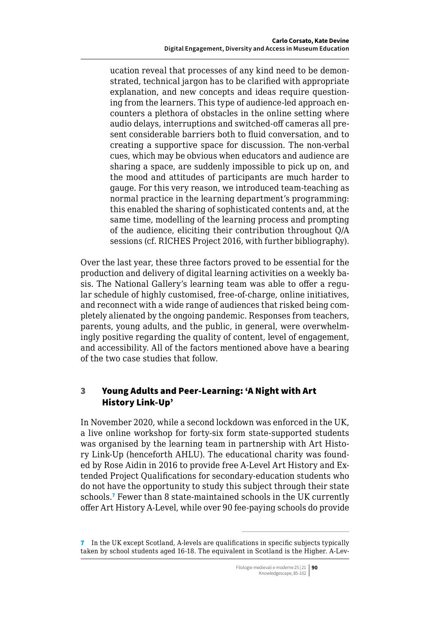<span id="page-5-0"></span>ucation reveal that processes of any kind need to be demonstrated, technical jargon has to be clarified with appropriate explanation, and new concepts and ideas require questioning from the learners. This type of audience-led approach encounters a plethora of obstacles in the online setting where audio delays, interruptions and switched-off cameras all present considerable barriers both to fluid conversation, and to creating a supportive space for discussion. The non-verbal cues, which may be obvious when educators and audience are sharing a space, are suddenly impossible to pick up on, and the mood and attitudes of participants are much harder to gauge. For this very reason, we introduced team-teaching as normal practice in the learning department's programming: this enabled the sharing of sophisticated contents and, at the same time, modelling of the learning process and prompting of the audience, eliciting their contribution throughout Q/A sessions (cf. RICHES Project 2016, with further bibliography).

Over the last year, these three factors proved to be essential for the production and delivery of digital learning activities on a weekly basis. The National Gallery's learning team was able to offer a regular schedule of highly customised, free-of-charge, online initiatives, and reconnect with a wide range of audiences that risked being completely alienated by the ongoing pandemic. Responses from teachers, parents, young adults, and the public, in general, were overwhelmingly positive regarding the quality of content, level of engagement, and accessibility. All of the factors mentioned above have a bearing of the two case studies that follow.

# 3 Young Adults and Peer-Learning: 'A Night with Art History Link-Up'

In November 2020, while a second lockdown was enforced in the UK, a live online workshop for forty-six form state-supported students was organised by the learning team in partnership with Art History Link-Up (henceforth AHLU). The educational charity was founded by Rose Aidin in 2016 to provide free A-Level Art History and Extended Project Qualifications for secondary-education students who do not have the opportunity to study this subject through their state schools.<sup>7</sup> Fewer than 8 state-maintained schools in the UK currently offer Art History A-Level, while over 90 fee-paying schools do provide

<sup>7</sup> In the UK except Scotland, A-levels are qualifications in specific subjects typically taken by school students aged 16-18. The equivalent in Scotland is the Higher. A-Lev-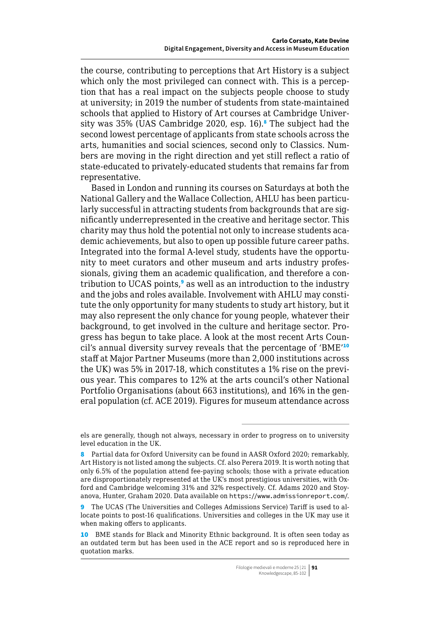the course, contributing to perceptions that Art History is a subject which only the most privileged can connect with. This is a perception that has a real impact on the subjects people choose to study at university; in 2019 the number of students from state-maintained schools that applied to History of Art courses at Cambridge University was 35% (UAS Cambridge 2020, esp. 16).<sup>8</sup> The subject had the second lowest percentage of applicants from state schools across the arts, humanities and social sciences, second only to Classics. Numbers are moving in the right direction and yet still reflect a ratio of state-educated to privately-educated students that remains far from representative.

Based in London and running its courses on Saturdays at both the National Gallery and the Wallace Collection, AHLU has been particularly successful in attracting students from backgrounds that are significantly underrepresented in the creative and heritage sector. This charity may thus hold the potential not only to increase students academic achievements, but also to open up possible future career paths. Integrated into the formal A-level study, students have the opportunity to meet curators and other museum and arts industry professionals, giving them an academic qualification, and therefore a contribution to UCAS points,<sup>9</sup> as well as an introduction to the industry and the jobs and roles available. Involvement with AHLU may constitute the only opportunity for many students to study art history, but it may also represent the only chance for young people, whatever their background, to get involved in the culture and heritage sector. Progress has begun to take place. A look at the most recent Arts Council's annual diversity survey reveals that the percentage of 'BME'<sup>10</sup> staff at Major Partner Museums (more than 2,000 institutions across the UK) was 5% in 2017-18, which constitutes a 1% rise on the previous year. This compares to 12% at the arts council's other National Portfolio Organisations (about 663 institutions), and 16% in the general population (cf. ACE 2019). Figures for museum attendance across

els are generally, though not always, necessary in order to progress on to university level education in the UK.

<sup>8</sup> Partial data for Oxford University can be found in AASR Oxford 2020; remarkably, Art History is not listed among the subjects. Cf. also Perera 2019. It is worth noting that only 6.5% of the population attend fee-paying schools; those with a private education are disproportionately represented at the UK's most prestigious universities, with Oxford and Cambridge welcoming 31% and 32% respectively. Cf. Adams 2020 and Stoyanova, Hunter, Graham 2020. Data available on <https://www.admissionreport.com/>.

<sup>9</sup> The UCAS (The Universities and Colleges Admissions Service) Tariff is used to allocate points to post-16 qualifications. Universities and colleges in the UK may use it when making offers to applicants.

<sup>10</sup> BME stands for Black and Minority Ethnic background. It is often seen today as an outdated term but has been used in the ACE report and so is reproduced here in quotation marks.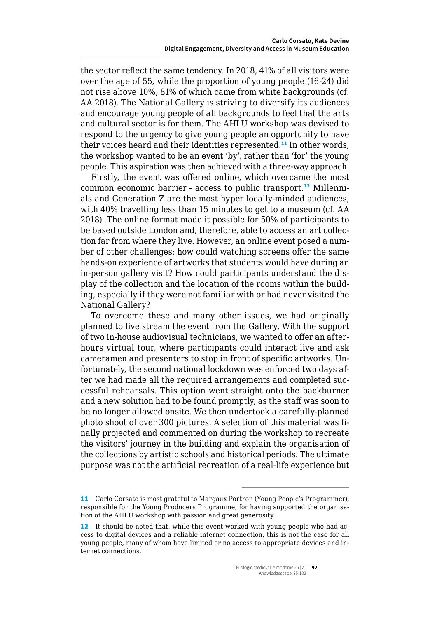the sector reflect the same tendency. In 2018, 41% of all visitors were over the age of 55, while the proportion of young people (16-24) did not rise above 10%, 81% of which came from white backgrounds (cf. AA 2018). The National Gallery is striving to diversify its audiences and encourage young people of all backgrounds to feel that the arts and cultural sector is for them. The AHLU workshop was devised to respond to the urgency to give young people an opportunity to have their voices heard and their identities represented.<sup>11</sup> In other words, the workshop wanted to be an event 'by', rather than 'for' the young people. This aspiration was then achieved with a three-way approach.

Firstly, the event was offered online, which overcame the most common economic barrier - access to public transport.<sup>12</sup> Millennials and Generation Z are the most hyper locally-minded audiences, with 40% travelling less than 15 minutes to get to a museum (cf. AA 2018). The online format made it possible for 50% of participants to be based outside London and, therefore, able to access an art collection far from where they live. However, an online event posed a number of other challenges: how could watching screens offer the same hands-on experience of artworks that students would have during an in-person gallery visit? How could participants understand the display of the collection and the location of the rooms within the building, especially if they were not familiar with or had never visited the National Gallery?

To overcome these and many other issues, we had originally planned to live stream the event from the Gallery. With the support of two in-house audiovisual technicians, we wanted to offer an afterhours virtual tour, where participants could interact live and ask cameramen and presenters to stop in front of specific artworks. Unfortunately, the second national lockdown was enforced two days after we had made all the required arrangements and completed successful rehearsals. This option went straight onto the backburner and a new solution had to be found promptly, as the staff was soon to be no longer allowed onsite. We then undertook a carefully-planned photo shoot of over 300 pictures. A selection of this material was finally projected and commented on during the workshop to recreate the visitors' journey in the building and explain the organisation of the collections by artistic schools and historical periods. The ultimate purpose was not the artificial recreation of a real-life experience but

<sup>11</sup> Carlo Corsato is most grateful to Margaux Portron (Young People's Programmer), responsible for the Young Producers Programme, for having supported the organisation of the AHLU workshop with passion and great generosity.

<sup>12</sup> It should be noted that, while this event worked with young people who had access to digital devices and a reliable internet connection, this is not the case for all young people, many of whom have limited or no access to appropriate devices and internet connections.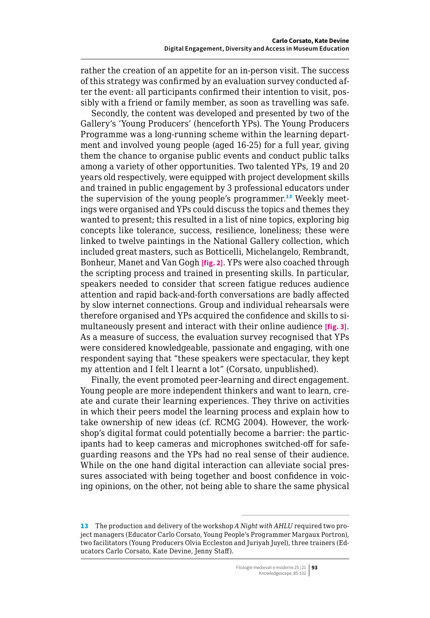rather the creation of an appetite for an in-person visit. The success of this strategy was confirmed by an evaluation survey conducted after the event: all participants confirmed their intention to visit, possibly with a friend or family member, as soon as travelling was safe.

Secondly, the content was developed and presented by two of the Gallery's 'Young Producers' (henceforth YPs). The Young Producers Programme was a long-running scheme within the learning department and involved young people (aged 16-25) for a full year, giving them the chance to organise public events and conduct public talks among a variety of other opportunities. Two talented YPs, 19 and 20 years old respectively, were equipped with project development skills and trained in public engagement by 3 professional educators under the supervision of the young people's programmer.<sup>13</sup> Weekly meetings were organised and YPs could discuss the topics and themes they wanted to present; this resulted in a list of nine topics, exploring big concepts like tolerance, success, resilience, loneliness; these were linked to twelve paintings in the National Gallery collection, which included great masters, such as Botticelli, Michelangelo, Rembrandt, Bonheur, Manet and Van Gogh **[fig. 2]**. YPs were also coached through the scripting process and trained in presenting skills. In particular, speakers needed to consider that screen fatigue reduces audience attention and rapid back-and-forth conversations are badly affected by slow internet connections. Group and individual rehearsals were therefore organised and YPs acquired the confidence and skills to simultaneously present and interact with their online audience **[fig. 3]**. As a measure of success, the evaluation survey recognised that YPs were considered knowledgeable, passionate and engaging, with one respondent saying that "these speakers were spectacular, they kept my attention and I felt I learnt a lot" (Corsato, unpublished).

Finally, the event promoted peer-learning and direct engagement. Young people are more independent thinkers and want to learn, create and curate their learning experiences. They thrive on activities in which their peers model the learning process and explain how to take ownership of new ideas (cf. RCMG 2004). However, the workshop's digital format could potentially become a barrier: the participants had to keep cameras and microphones switched-off for safeguarding reasons and the YPs had no real sense of their audience. While on the one hand digital interaction can alleviate social pressures associated with being together and boost confidence in voicing opinions, on the other, not being able to share the same physical

<sup>13</sup> The production and delivery of the workshop *A Night with AHLU* required two project managers (Educator Carlo Corsato, Young People's Programmer Margaux Portron), two facilitators (Young Producers Olvia Eccleston and Juriyah Juyel), three trainers (Educators Carlo Corsato, Kate Devine, Jenny Staff).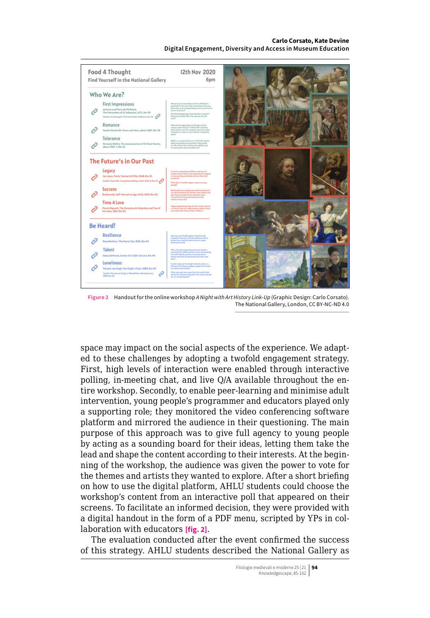#### **Carlo Corsato, Kate Devine Digital Engagement, Diversity and Access in Museum Education**



**Figure 2** Handout for the online workshop *A Night with Art History Link-Up* (Graphic Design: Carlo Corsato). The National Gallery, London, CC BY-NC-ND 4.0

space may impact on the social aspects of the experience. We adapted to these challenges by adopting a twofold engagement strategy. First, high levels of interaction were enabled through interactive polling, in-meeting chat, and live Q/A available throughout the entire workshop. Secondly, to enable peer-learning and minimise adult intervention, young people's programmer and educators played only a supporting role; they monitored the video conferencing software platform and mirrored the audience in their questioning. The main purpose of this approach was to give full agency to young people by acting as a sounding board for their ideas, letting them take the lead and shape the content according to their interests. At the beginning of the workshop, the audience was given the power to vote for the themes and artists they wanted to explore. After a short briefing on how to use the digital platform, AHLU students could choose the workshop's content from an interactive poll that appeared on their screens. To facilitate an informed decision, they were provided with a digital handout in the form of a PDF menu, scripted by YPs in collaboration with educators **[fig. 2]**.

The evaluation conducted after the event confirmed the success of this strategy. AHLU students described the National Gallery as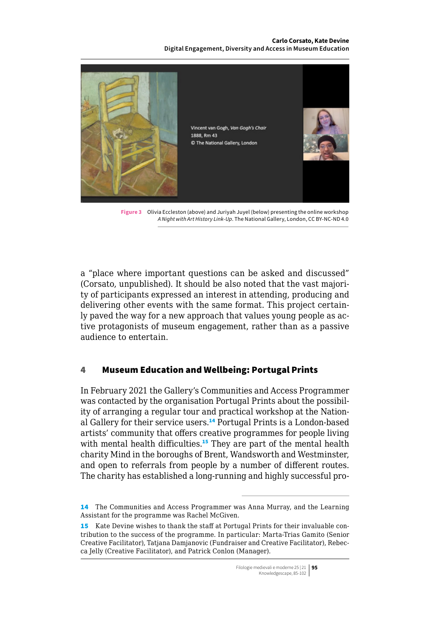#### **Carlo Corsato, Kate Devine Digital Engagement, Diversity and Access in Museum Education**



**Figure 3** Olivia Eccleston (above) and Juriyah Juyel (below) presenting the online workshop *A Night with Art History Link-Up*. The National Gallery, London, CC BY-NC-ND 4.0

a "place where important questions can be asked and discussed" (Corsato, unpublished). It should be also noted that the vast majority of participants expressed an interest in attending, producing and delivering other events with the same format. This project certainly paved the way for a new approach that values young people as active protagonists of museum engagement, rather than as a passive audience to entertain.

### 4 Museum Education and Wellbeing: Portugal Prints

In February 2021 the Gallery's Communities and Access Programmer was contacted by the organisation Portugal Prints about the possibility of arranging a regular tour and practical workshop at the National Gallery for their service users.<sup>14</sup> Portugal Prints is a London-based artists' community that offers creative programmes for people living with mental health difficulties.<sup>15</sup> They are part of the mental health charity Mind in the boroughs of Brent, Wandsworth and Westminster, and open to referrals from people by a number of different routes. The charity has established a long-running and highly successful pro-

<sup>14</sup> The Communities and Access Programmer was Anna Murray, and the Learning Assistant for the programme was Rachel McGiven.

<sup>15</sup> Kate Devine wishes to thank the staff at Portugal Prints for their invaluable contribution to the success of the programme. In particular: Marta-Trias Gamito (Senior Creative Facilitator), Tatjana Damjanovic (Fundraiser and Creative Facilitator), Rebecca Jelly (Creative Facilitator), and Patrick Conlon (Manager).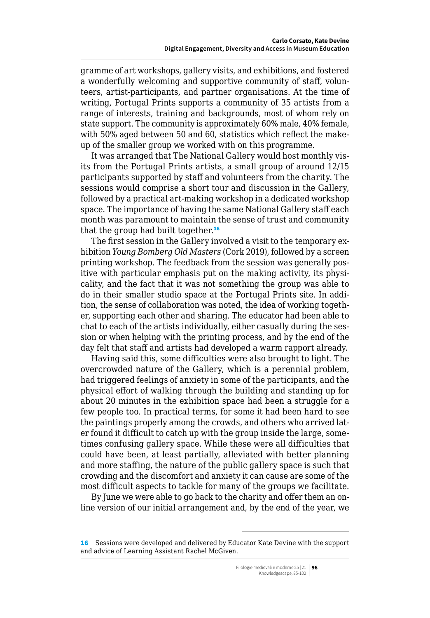<span id="page-11-0"></span>gramme of art workshops, gallery visits, and exhibitions, and fostered a wonderfully welcoming and supportive community of staff, volunteers, artist-participants, and partner organisations. At the time of writing, Portugal Prints supports a community of 35 artists from a range of interests, training and backgrounds, most of whom rely on state support. The community is approximately 60% male, 40% female, with 50% aged between 50 and 60, statistics which reflect the makeup of the smaller group we worked with on this programme.

It was arranged that The National Gallery would host monthly visits from the Portugal Prints artists, a small group of around 12/15 participants supported by staff and volunteers from the charity. The sessions would comprise a short tour and discussion in the Gallery, followed by a practical art-making workshop in a dedicated workshop space. The importance of having the same National Gallery staff each month was paramount to maintain the sense of trust and community that the group had built together.<sup>16</sup>

The first session in the Gallery involved a visit to the temporary exhibition *Young Bomberg Old Masters* (Cork 2019), followed by a screen printing workshop. The feedback from the session was generally positive with particular emphasis put on the making activity, its physicality, and the fact that it was not something the group was able to do in their smaller studio space at the Portugal Prints site. In addition, the sense of collaboration was noted, the idea of working together, supporting each other and sharing. The educator had been able to chat to each of the artists individually, either casually during the session or when helping with the printing process, and by the end of the day felt that staff and artists had developed a warm rapport already.

Having said this, some difficulties were also brought to light. The overcrowded nature of the Gallery, which is a perennial problem, had triggered feelings of anxiety in some of the participants, and the physical effort of walking through the building and standing up for about 20 minutes in the exhibition space had been a struggle for a few people too. In practical terms, for some it had been hard to see the paintings properly among the crowds, and others who arrived later found it difficult to catch up with the group inside the large, sometimes confusing gallery space. While these were all difficulties that could have been, at least partially, alleviated with better planning and more staffing, the nature of the public gallery space is such that crowding and the discomfort and anxiety it can cause are some of the most difficult aspects to tackle for many of the groups we facilitate.

By June we were able to go back to the charity and offer them an online version of our initial arrangement and, by the end of the year, we

<sup>16</sup> Sessions were developed and delivered by Educator Kate Devine with the support and advice of Learning Assistant Rachel McGiven.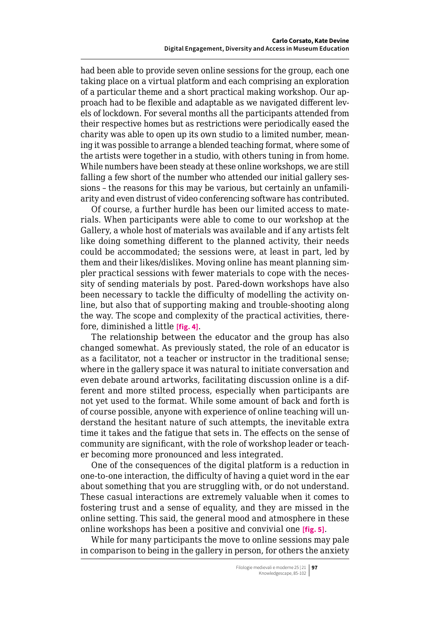had been able to provide seven online sessions for the group, each one taking place on a virtual platform and each comprising an exploration of a particular theme and a short practical making workshop. Our approach had to be flexible and adaptable as we navigated different levels of lockdown. For several months all the participants attended from their respective homes but as restrictions were periodically eased the charity was able to open up its own studio to a limited number, meaning it was possible to arrange a blended teaching format, where some of the artists were together in a studio, with others tuning in from home. While numbers have been steady at these online workshops, we are still falling a few short of the number who attended our initial gallery sessions – the reasons for this may be various, but certainly an unfamiliarity and even distrust of video conferencing software has contributed.

Of course, a further hurdle has been our limited access to materials. When participants were able to come to our workshop at the Gallery, a whole host of materials was available and if any artists felt like doing something different to the planned activity, their needs could be accommodated; the sessions were, at least in part, led by them and their likes/dislikes. Moving online has meant planning simpler practical sessions with fewer materials to cope with the necessity of sending materials by post. Pared-down workshops have also been necessary to tackle the difficulty of modelling the activity online, but also that of supporting making and trouble-shooting along the way. The scope and complexity of the practical activities, therefore, diminished a little **[fig. 4]**.

The relationship between the educator and the group has also changed somewhat. As previously stated, the role of an educator is as a facilitator, not a teacher or instructor in the traditional sense; where in the gallery space it was natural to initiate conversation and even debate around artworks, facilitating discussion online is a different and more stilted process, especially when participants are not yet used to the format. While some amount of back and forth is of course possible, anyone with experience of online teaching will understand the hesitant nature of such attempts, the inevitable extra time it takes and the fatigue that sets in. The effects on the sense of community are significant, with the role of workshop leader or teacher becoming more pronounced and less integrated.

One of the consequences of the digital platform is a reduction in one-to-one interaction, the difficulty of having a quiet word in the ear about something that you are struggling with, or do not understand. These casual interactions are extremely valuable when it comes to fostering trust and a sense of equality, and they are missed in the online setting. This said, the general mood and atmosphere in these online workshops has been a positive and convivial one **[fig. 5]**.

While for many participants the move to online sessions may pale in comparison to being in the gallery in person, for others the anxiety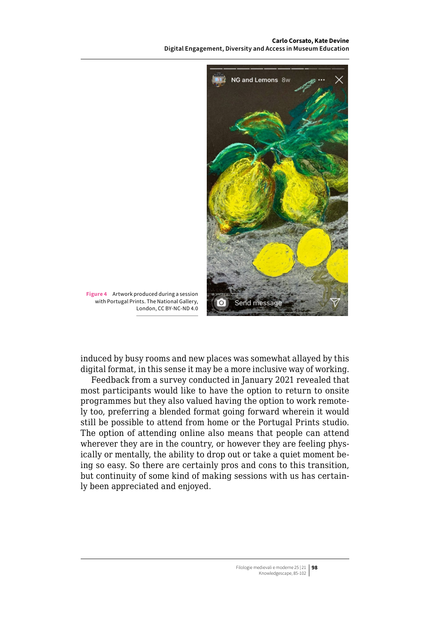**Carlo Corsato, Kate Devine Digital Engagement, Diversity and Access in Museum Education**



**Figure 4** Artwork produced during a session with Portugal Prints. The National Gallery, London, CC BY-NC-ND 4.0

induced by busy rooms and new places was somewhat allayed by this digital format, in this sense it may be a more inclusive way of working.

Feedback from a survey conducted in January 2021 revealed that most participants would like to have the option to return to onsite programmes but they also valued having the option to work remotely too, preferring a blended format going forward wherein it would still be possible to attend from home or the Portugal Prints studio. The option of attending online also means that people can attend wherever they are in the country, or however they are feeling physically or mentally, the ability to drop out or take a quiet moment being so easy. So there are certainly pros and cons to this transition, but continuity of some kind of making sessions with us has certainly been appreciated and enjoyed.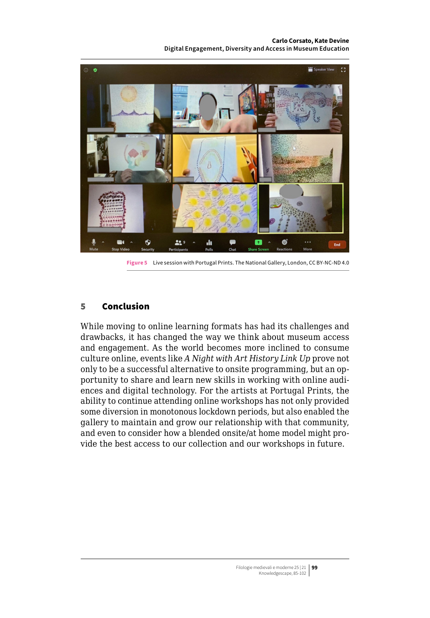**Carlo Corsato, Kate Devine Digital Engagement, Diversity and Access in Museum Education**



**Figure 5** Live session with Portugal Prints. The National Gallery, London, CC BY-NC-ND 4.0

### 5 Conclusion

While moving to online learning formats has had its challenges and drawbacks, it has changed the way we think about museum access and engagement. As the world becomes more inclined to consume culture online, events like *A Night with Art History Link Up* prove not only to be a successful alternative to onsite programming, but an opportunity to share and learn new skills in working with online audiences and digital technology. For the artists at Portugal Prints, the ability to continue attending online workshops has not only provided some diversion in monotonous lockdown periods, but also enabled the gallery to maintain and grow our relationship with that community, and even to consider how a blended onsite/at home model might provide the best access to our collection and our workshops in future.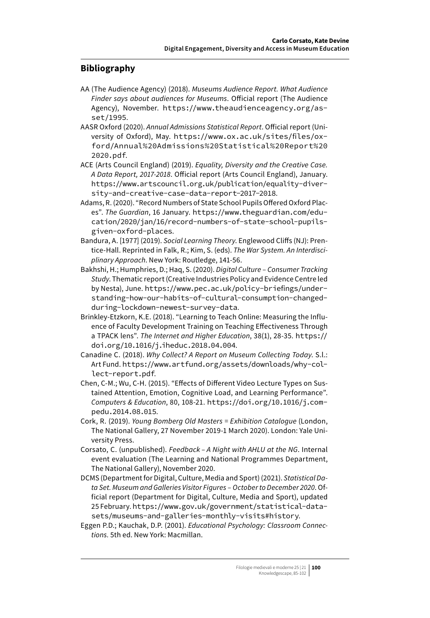### <span id="page-15-0"></span>**Bibliography**

- AA (The Audience Agency) (2018). *Museums Audience Report. What Audience Finder says about audiences for Museums*. Official report (The Audience Agency), November. [https://www.theaudienceagency.org/as](https://www.theaudienceagency.org/asset/1995)[set/1995](https://www.theaudienceagency.org/asset/1995).
- AASR Oxford (2020). *Annual Admissions Statistical Report*. Official report (University of Oxford), May. [https://www.ox.ac.uk/sites/files/ox](https://www.ox.ac.uk/sites/files/oxford/Annual%20Admissions%20Statistical%20Report%202020.pdf)[ford/Annual%20Admissions%20Statistical%20Report%20](https://www.ox.ac.uk/sites/files/oxford/Annual%20Admissions%20Statistical%20Report%202020.pdf) [2020.pdf](https://www.ox.ac.uk/sites/files/oxford/Annual%20Admissions%20Statistical%20Report%202020.pdf).
- ACE (Arts Council England) (2019). *Equality, Diversity and the Creative Case. A Data Report, 2017-2018*. Official report (Arts Council England), January. [https://www.artscouncil.org.uk/publication/equality-diver](https://www.artscouncil.org.uk/publication/equality-diversity-and-creative-case-data-report-2017-2018)[sity-and-creative-case-data-report-2017-2018](https://www.artscouncil.org.uk/publication/equality-diversity-and-creative-case-data-report-2017-2018).
- Adams, R. (2020). "Record Numbers of State School Pupils Offered Oxford Places". *The Guardian*, 16 January. [https://www.theguardian.com/edu](https://www.theguardian.com/education/2020/jan/16/record-numbers-of-state-school-pupils-given-oxford-places)[cation/2020/jan/16/record-numbers-of-state-school-pupils](https://www.theguardian.com/education/2020/jan/16/record-numbers-of-state-school-pupils-given-oxford-places)[given-oxford-places](https://www.theguardian.com/education/2020/jan/16/record-numbers-of-state-school-pupils-given-oxford-places).
- Bandura, A. [1977] (2019). *Social Learning Theory*. Englewood Cliffs (NJ): Prentice-Hall. Reprinted in Falk, R.; Kim, S. (eds). *The War System. An Interdisciplinary Approach*. New York: Routledge, 141-56.
- Bakhshi, H.; Humphries, D.; Haq, S. (2020). *Digital Culture – Consumer Tracking Study*. Thematic report (Creative Industries Policy and Evidence Centre led by Nesta), June. [https://www.pec.ac.uk/policy-briefings/under](https://www.pec.ac.uk/policy-briefings/understanding-how-our-habits-of-cultural-consumption-changed-during-lockdown-newest-survey-data)[standing-how-our-habits-of-cultural-consumption-changed](https://www.pec.ac.uk/policy-briefings/understanding-how-our-habits-of-cultural-consumption-changed-during-lockdown-newest-survey-data)[during-lockdown-newest-survey-data](https://www.pec.ac.uk/policy-briefings/understanding-how-our-habits-of-cultural-consumption-changed-during-lockdown-newest-survey-data).
- Brinkley-Etzkorn, K.E. (2018). "Learning to Teach Online: Measuring the Influence of Faculty Development Training on Teaching Effectiveness Through a TPACK lens". *The Internet and Higher Education*, 38(1), 28-35. [https://](https://doi.org/10.1016/j.iheduc.2018.04.004) [doi.org/10.1016/j.iheduc.2018.04.004](https://doi.org/10.1016/j.iheduc.2018.04.004).
- Canadine C. (2018). *Why Collect? A Report on Museum Collecting Today*. S.l.: Art Fund. [https://www.artfund.org/assets/downloads/why-col](https://www.artfund.org/assets/downloads/why-collect-report.pdf)[lect-report.pdf](https://www.artfund.org/assets/downloads/why-collect-report.pdf).
- Chen, C-M.; Wu, C-H. (2015). "Effects of Different Video Lecture Types on Sustained Attention, Emotion, Cognitive Load, and Learning Performance". *Computers & Education*, 80, 108-21. [https://doi.org/10.1016/j.com](https://doi.org/10.1016/j.compedu.2014.08.015)[pedu.2014.08.015](https://doi.org/10.1016/j.compedu.2014.08.015).
- Cork, R. (2019). *Young Bomberg Old Masters = Exhibition Catalogue* (London, The National Gallery, 27 November 2019-1 March 2020). London: Yale University Press.
- Corsato, C. (unpublished). *Feedback – A Night with AHLU at the NG*. Internal event evaluation (The Learning and National Programmes Department, The National Gallery), November 2020.
- DCMS (Department for Digital, Culture, Media and Sport) (2021). *Statistical Data Set. Museum and Galleries Visitor Figures – October to December 2020*. Official report (Department for Digital, Culture, Media and Sport), updated 25 February. [https://www.gov.uk/government/statistical-data](https://www.gov.uk/government/statistical-data-sets/museums-and-galleries-monthly-visits#history)[sets/museums-and-galleries-monthly-visits#history](https://www.gov.uk/government/statistical-data-sets/museums-and-galleries-monthly-visits#history).
- Eggen P.D.; Kauchak, D.P. (2001). *Educational Psychology: Classroom Connections.* 5th ed. New York: Macmillan.